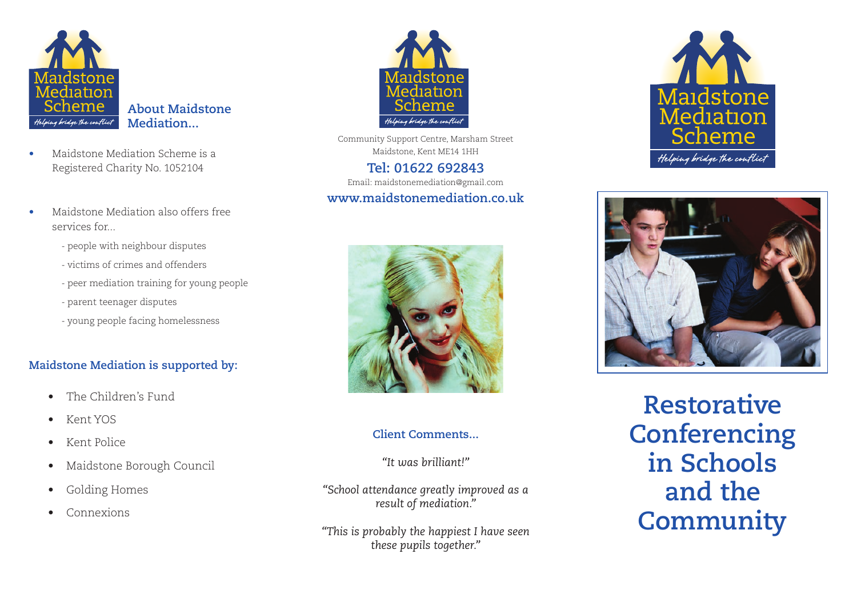

- Maidstone Mediation Scheme is a Registered Charity No. 1052104
- Maidstone Mediation also offers free services for...
	- people with neighbour disputes
	- victims of crimes and offenders
	- peer mediation training for young people
	- parent teenager disputes
	- young people facing homelessness

#### **Maidstone Mediation is supported by:**

- • The Children's Fund
- • Kent YOS
- • Kent Police
- • Maidstone Borough Council
- • Golding Homes
- • Connexions



Community Support Centre, Marsham Street Maidstone, Kent ME14 1HH **Tel: 01622 692843**

Email: maidstonemediation@gmail.com

#### **www.maidstonemediation.co.uk**



#### **Client Comments...**

*"It was brilliant!"*

*"School attendance greatly improved as a result of mediation."*

*"This is probably the happiest I have seen these pupils together."*





**Restorative Conferencing in Schools and the Community**